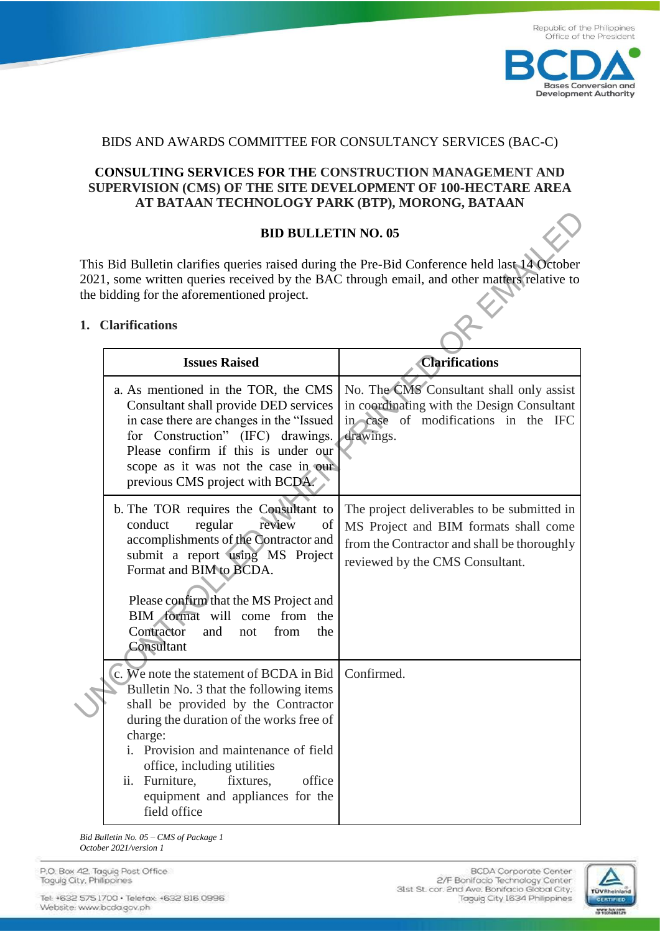

## BIDS AND AWARDS COMMITTEE FOR CONSULTANCY SERVICES (BAC-C)

## **CONSULTING SERVICES FOR THE CONSTRUCTION MANAGEMENT AND SUPERVISION (CMS) OF THE SITE DEVELOPMENT OF 100-HECTARE AREA AT BATAAN TECHNOLOGY PARK (BTP), MORONG, BATAAN**

## **BID BULLETIN NO. 05**

## **1. Clarifications**

| <b>BID BULLETIN NO. 05</b>                                                                                                                                                                                                                  |                                                                                                                                                                                                                                                                                                                                                          |                                                                                                                                                                        |  |
|---------------------------------------------------------------------------------------------------------------------------------------------------------------------------------------------------------------------------------------------|----------------------------------------------------------------------------------------------------------------------------------------------------------------------------------------------------------------------------------------------------------------------------------------------------------------------------------------------------------|------------------------------------------------------------------------------------------------------------------------------------------------------------------------|--|
| This Bid Bulletin clarifies queries raised during the Pre-Bid Conference held last 14 October<br>2021, some written queries received by the BAC through email, and other matters relative to<br>the bidding for the aforementioned project. |                                                                                                                                                                                                                                                                                                                                                          |                                                                                                                                                                        |  |
|                                                                                                                                                                                                                                             | 1. Clarifications                                                                                                                                                                                                                                                                                                                                        |                                                                                                                                                                        |  |
|                                                                                                                                                                                                                                             | <b>Issues Raised</b>                                                                                                                                                                                                                                                                                                                                     | <b>Clarifications</b>                                                                                                                                                  |  |
|                                                                                                                                                                                                                                             | a. As mentioned in the TOR, the CMS<br>Consultant shall provide DED services<br>in case there are changes in the "Issued<br>for Construction" (IFC) drawings.<br>Please confirm if this is under our<br>scope as it was not the case in our<br>previous CMS project with BCDA.                                                                           | No. The CMS Consultant shall only assist<br>in coordinating with the Design Consultant<br>in case of modifications in the IFC<br>drawings.                             |  |
|                                                                                                                                                                                                                                             | b. The TOR requires the Consultant to<br>conduct<br>regular<br>review<br>of<br>accomplishments of the Contractor and<br>submit a report using MS Project<br>Format and BIM to BCDA.<br>Please confirm that the MS Project and<br>BIM format will come from the<br>Contractor<br>the<br>and<br>from<br>not<br>Consultant                                  | The project deliverables to be submitted in<br>MS Project and BIM formats shall come<br>from the Contractor and shall be thoroughly<br>reviewed by the CMS Consultant. |  |
|                                                                                                                                                                                                                                             | c. We note the statement of BCDA in Bid<br>Bulletin No. 3 that the following items<br>shall be provided by the Contractor<br>during the duration of the works free of<br>charge:<br>i. Provision and maintenance of field<br>office, including utilities<br>Furniture,<br>office<br>fixtures,<br>ii.<br>equipment and appliances for the<br>field office | Confirmed.                                                                                                                                                             |  |

*Bid Bulletin No. 05 – CMS of Package 1 October 2021/version 1*

P.O. Box 42. Taguig Post Office Taquig City, Philippines

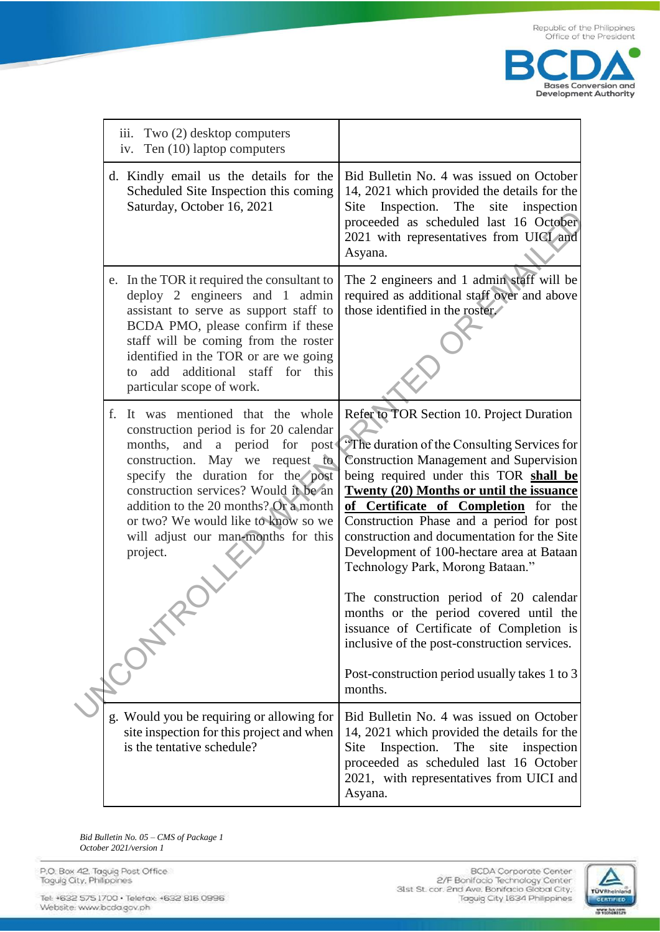

| iii. Two (2) desktop computers<br>iv. Ten (10) laptop computers                                                                                                                                                                                                                                                                                                         |                                                                                                                                                                                                                                                                                                                                                                                                                                                                                                                                                                                                                                                                                                          |
|-------------------------------------------------------------------------------------------------------------------------------------------------------------------------------------------------------------------------------------------------------------------------------------------------------------------------------------------------------------------------|----------------------------------------------------------------------------------------------------------------------------------------------------------------------------------------------------------------------------------------------------------------------------------------------------------------------------------------------------------------------------------------------------------------------------------------------------------------------------------------------------------------------------------------------------------------------------------------------------------------------------------------------------------------------------------------------------------|
| d. Kindly email us the details for the<br>Scheduled Site Inspection this coming<br>Saturday, October 16, 2021                                                                                                                                                                                                                                                           | Bid Bulletin No. 4 was issued on October<br>14, 2021 which provided the details for the<br>Inspection. The<br>site<br>Site<br>inspection<br>proceeded as scheduled last 16 October<br>2021 with representatives from UICI and<br>Asyana.                                                                                                                                                                                                                                                                                                                                                                                                                                                                 |
| e. In the TOR it required the consultant to<br>deploy 2 engineers and 1 admin<br>assistant to serve as support staff to<br>BCDA PMO, please confirm if these<br>staff will be coming from the roster<br>identified in the TOR or are we going<br>additional staff for<br>add<br>$\mathsf{to}$<br>particular scope of work.                                              | The 2 engineers and 1 admin staff will be<br>required as additional staff over and above<br>those identified in the roster.<br>this                                                                                                                                                                                                                                                                                                                                                                                                                                                                                                                                                                      |
| It was mentioned that the whole<br>f.<br>construction period is for 20 calendar<br>months,<br>and a period for post<br>construction. May we request to<br>specify the duration for the post<br>construction services? Would it be an<br>addition to the 20 months? Or a month<br>or two? We would like to know so we<br>will adjust our man-months for this<br>project. | Refer to TOR Section 10. Project Duration<br>"The duration of the Consulting Services for<br><b>Construction Management and Supervision</b><br>being required under this TOR shall be<br><b>Twenty (20) Months or until the issuance</b><br>of Certificate of Completion for the<br>Construction Phase and a period for post<br>construction and documentation for the Site<br>Development of 100-hectare area at Bataan<br>Technology Park, Morong Bataan."<br>The construction period of 20 calendar<br>months or the period covered until the<br>issuance of Certificate of Completion is<br>inclusive of the post-construction services.<br>Post-construction period usually takes 1 to 3<br>months. |
| g. Would you be requiring or allowing for<br>site inspection for this project and when<br>is the tentative schedule?                                                                                                                                                                                                                                                    | Bid Bulletin No. 4 was issued on October<br>14, 2021 which provided the details for the<br>Inspection.<br>The<br>site<br>Site<br>inspection<br>proceeded as scheduled last 16 October<br>2021, with representatives from UICI and<br>Asyana.                                                                                                                                                                                                                                                                                                                                                                                                                                                             |

Bid Bulletin No. 05 - CMS of Package 1 October 2021/version 1

P.O. Box 42. Taguig Post Office<br>Taguig City, Philippines

Tel: +632 575 1700 · Telefax: +632 816 0996 Website: www.bcda.gov.ph

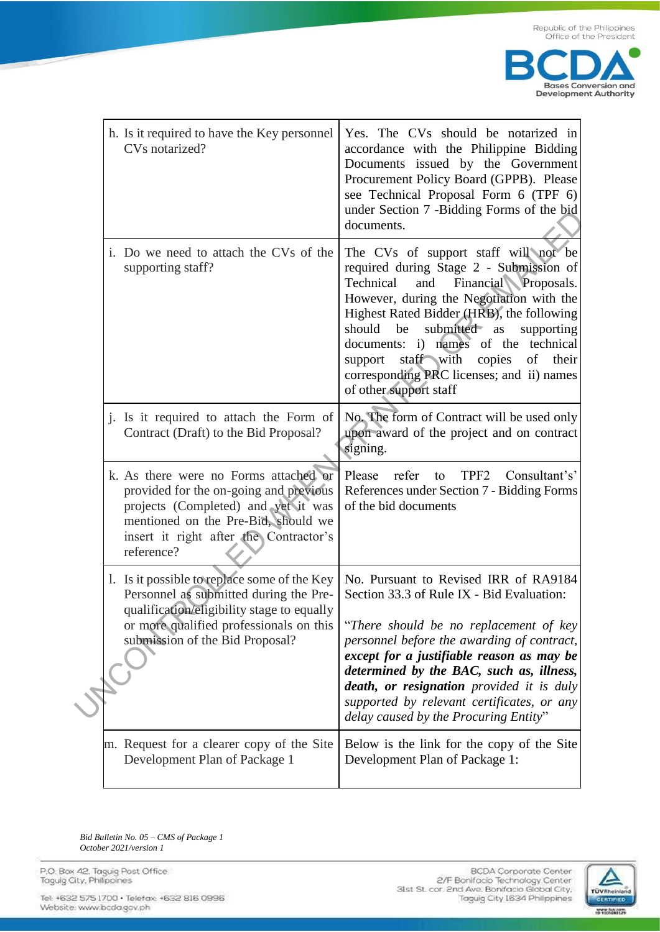

| h. Is it required to have the Key personnel<br>CVs notarized?                                                                                                                                                         | Yes. The CVs should be notarized in<br>accordance with the Philippine Bidding<br>Documents issued by the Government<br>Procurement Policy Board (GPPB). Please<br>see Technical Proposal Form 6 (TPF 6)<br>under Section 7 -Bidding Forms of the bid<br>documents.                                                                                                                                                                  |
|-----------------------------------------------------------------------------------------------------------------------------------------------------------------------------------------------------------------------|-------------------------------------------------------------------------------------------------------------------------------------------------------------------------------------------------------------------------------------------------------------------------------------------------------------------------------------------------------------------------------------------------------------------------------------|
| i. Do we need to attach the CVs of the<br>supporting staff?                                                                                                                                                           | The CVs of support staff will not be<br>required during Stage 2 - Submission of<br>Financial Proposals.<br>Technical<br>and<br>However, during the Negotiation with the<br>Highest Rated Bidder (HRB), the following<br>submitted as<br>should<br>be<br>supporting<br>documents: i) names of the technical<br>staff with<br>copies<br>of<br>their<br>support<br>corresponding PRC licenses; and ii) names<br>of other support staff |
| <i>i</i> . Is it required to attach the Form of<br>Contract (Draft) to the Bid Proposal?                                                                                                                              | No. The form of Contract will be used only<br>upon award of the project and on contract<br>signing.                                                                                                                                                                                                                                                                                                                                 |
| k. As there were no Forms attached or<br>provided for the on-going and previous<br>projects (Completed) and yet it was<br>mentioned on the Pre-Bid, should we<br>insert it right after the Contractor's<br>reference? | TPF <sub>2</sub><br>Please refer<br>Consultant's'<br>to<br>References under Section 7 - Bidding Forms<br>of the bid documents                                                                                                                                                                                                                                                                                                       |
| 1. Is it possible to replace some of the Key<br>Personnel as submitted during the Pre-<br>qualification/eligibility stage to equally<br>or more qualified professionals on this<br>submission of the Bid Proposal?    | No. Pursuant to Revised IRR of RA9184<br>Section 33.3 of Rule IX - Bid Evaluation:<br>"There should be no replacement of key<br>personnel before the awarding of contract,<br>except for a justifiable reason as may be<br>determined by the BAC, such as, illness,<br><b>death, or resignation</b> provided it is duly<br>supported by relevant certificates, or any<br>delay caused by the Procuring Entity"                      |
| m. Request for a clearer copy of the Site<br>Development Plan of Package 1                                                                                                                                            | Below is the link for the copy of the Site<br>Development Plan of Package 1:                                                                                                                                                                                                                                                                                                                                                        |

Bid Bulletin No. 05 - CMS of Package 1 October 2021/version 1

P.O. Box 42. Taguig Post Office<br>Taguig City, Philippines

Tel: +632 575 1700 · Telefax: +632 816 0996 Website: www.bcda.gov.ph